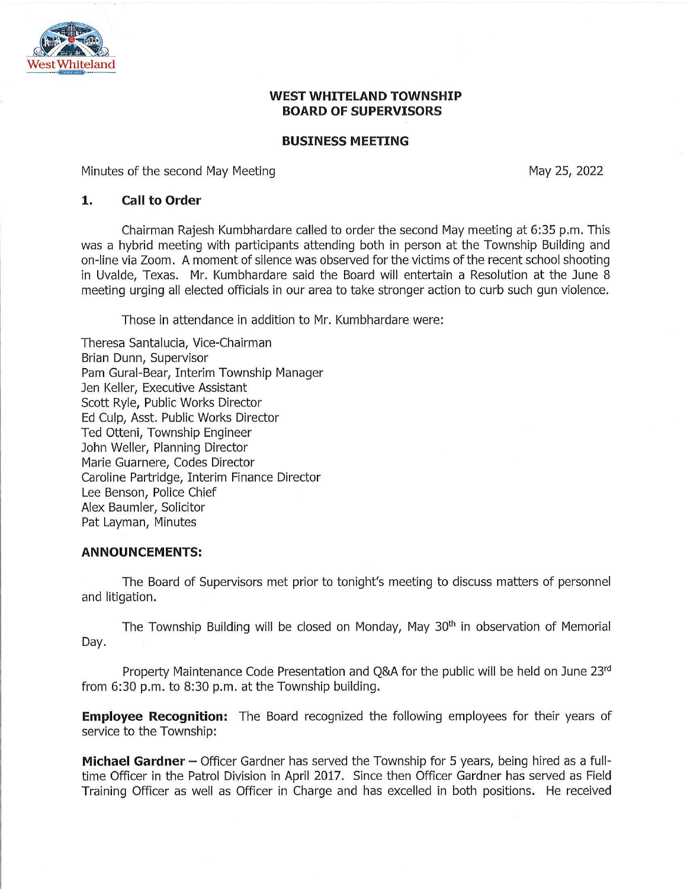

### **WEST WHITELAND TOWNSHIP BOARD OF SUPERVISORS**

#### **BUSINESS MEETING**

Minutes of the second May Meeting

May 25, 2022

#### **1. Call to Order**

Chairman Rajesh Kumbhardare called to order the second May meeting at 6:35 p.m. This was a hybrid meeting with participants attending both in person at the Township Building and on-line via Zoom. A moment of silence was observed for the victims of the recent school shooting in Uvalde, Texas. Mr. Kumbhardare said the Board will entertain a Resolution at the June 8 meeting urging all elected officials in our area to take stronger action to curb such gun violence.

Those in attendance in addition to Mr. Kumbhardare were:

Theresa Santalucia, Vice-Chairman Brian Dunn, Supervisor Pam Gural-Bear, Interim Township Manager Jen Keller, Executive Assistant Scott Ryle, Public Works Director Ed Culp, Asst. Public Works Director Ted Otteni, Township Engineer John Weller, Planning Director Marie Guarnere, Codes Director Caroline Partridge, Interim Finance Director Lee Benson, Police Chief Alex Baumler, Solicitor Pat Layman, Minutes

### **ANNOUNCEMENTS:**

The Board of Supervisors met prior to tonight's meeting to discuss matters of personnel and litigation.

The Township Building will be closed on Monday, May 30<sup>th</sup> in observation of Memorial Day.

Property Maintenance Code Presentation and Q&A for the public will be held on June 23rd from 6:30 p.m. to 8:30 p.m. at the Township building.

**Employee Recognition:** The Board recognized the following employees for their years of service to the Township:

**Michael Gardner -** Officer Gardner has served the Township for 5 years, being hired as a fulltime Officer in the Patrol Division in April 2017. Since then Officer Gardner has served as Field Training Officer as well as Officer in Charge and has excelled in both positions. He received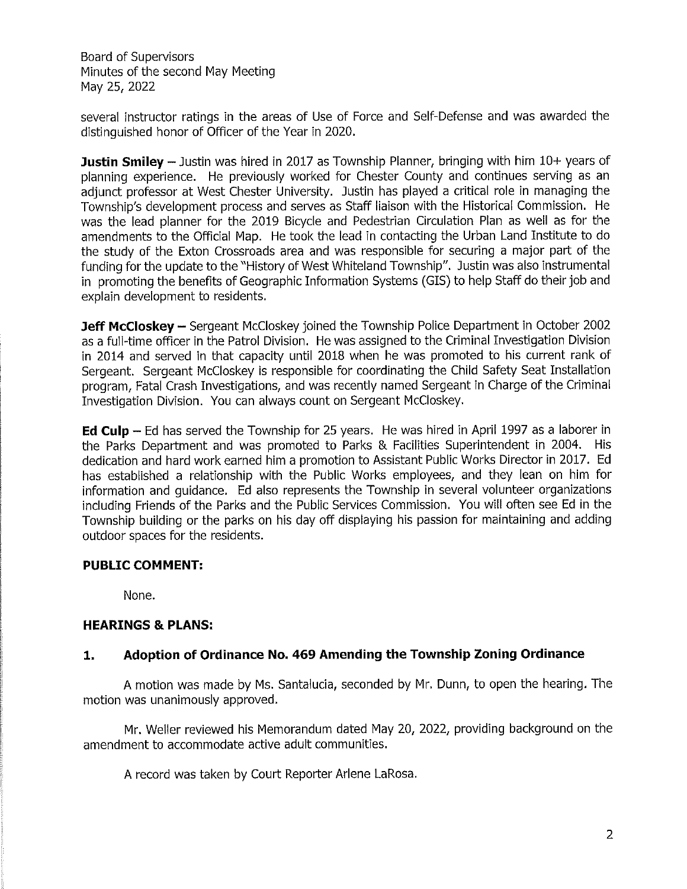several instructor ratings in the areas of Use of Force and Self-Defense and was awarded the distinguished honor of Officer of the Year in 2020.

**Justin Smiley** - Justin was hired in 2017 as Township Planner, bringing with him 10+ years of planning experience. He previously worked for Chester County and continues serving as an adjunct professor at West Chester University. Justin has played a critical role in managing the Township's development process and serves as Staff liaison with the Historical Commission. He was the lead planner for the 2019 Bicycle and Pedestrian Circulation Plan as well as for the amendments to the Official Map. He took the lead in contacting the Urban Land Institute to do the study of the Exton Crossroads area and was responsible for securing a major part of the funding for the update to the "History of West Whiteland Township". Justin was also instrumental in promoting the benefits of Geographic Information Systems (GIS) to help Staff do their job and explain development to residents.

**Jeff McCloskey -** Sergeant McCloskey joined the Township Police Department in October 2002 as a full-time officer in the Patrol Division. He was assigned to the Criminal Investigation Division in 2014 and served in that capacity until 2018 when he was promoted to his current rank of Sergeant. Sergeant Mccloskey is responsible for coordinating the Child Safety Seat Installation program, Fatal Crash Investigations, and was recently named Sergeant in Charge of the Criminal Investigation Division. You can always count on Sergeant Mccloskey.

**Ed Culp** - Ed has served the Township for 25 years. He was hired in April 1997 as a laborer in the Parks Department and was promoted to Parks & Facilities Superintendent in 2004. His dedication and hard work earned him a promotion to Assistant Public Works Director in 2017. Ed has established a relationship with the Public Works employees, and they lean on him for information and guidance. Ed also represents the Township in several volunteer organizations including Friends of the Parks and the Public Services Commission. You will often see Ed in the Township building or the parks on his day off displaying his passion for maintaining and adding outdoor spaces for the residents.

# **PUBLIC COMMENT:**

None.

### **HEARINGS & PLANS:**

### **1. Adoption of Ordinance No. 469 Amending the Township Zoning Ordinance**

A motion was made by Ms. Santalucia, seconded by Mr. Dunn, to open the hearing. The motion was unanimously approved.

Mr. Weller reviewed his Memorandum dated May 20, 2022, providing background on the amendment to accommodate active adult communities.

A record was taken by Court Reporter Arlene LaRosa.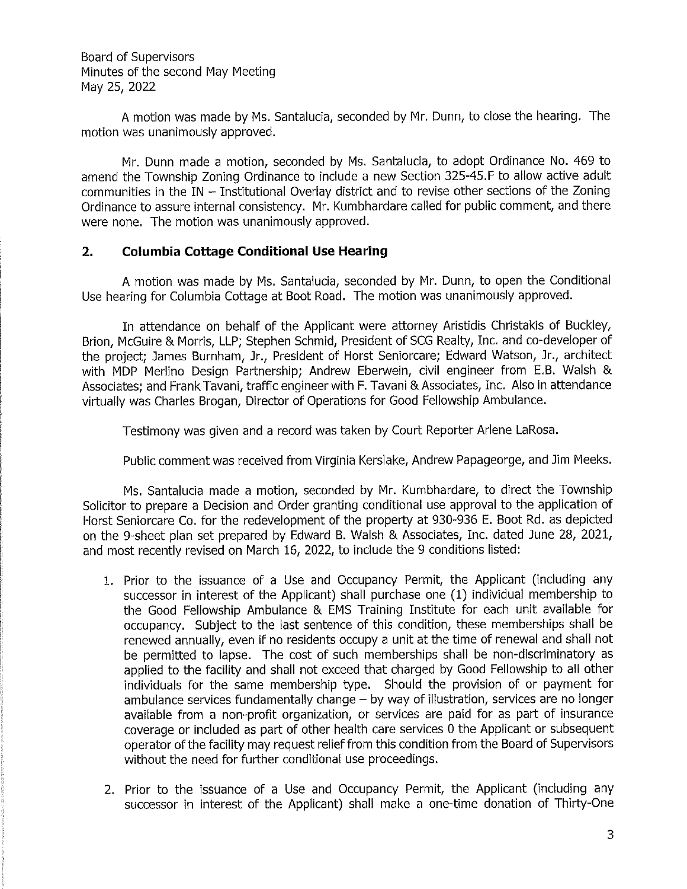A motion was made by Ms. Santalucia, seconded by Mr. Dunn, to close the hearing. The motion was unanimously approved.

Mr. Dunn made a motion, seconded by Ms. Santalucia, to adopt Ordinance No. 469 to amend the Township Zoning Ordinance to include a new Section 325-45.F to allow active adult communities in the IN - Institutional Overlay district and to revise other sections of the Zoning Ordinance to assure internal consistency. Mr. Kumbhardare called for public comment, and there were none. The motion was unanimously approved.

#### **2. Columbia Cottage Conditional Use Hearing**

A motion was made by Ms. Santalucia, seconded by Mr. Dunn, to open the Conditional Use hearing for Columbia Cottage at Boot Road. The motion was unanimously approved.

In attendance on behalf of the Applicant were attorney Aristidis Christakis of Buckley, Brion, McGuire & Morris, LLP; Stephen Schmid, President of SCG Realty, Inc. and co-developer of the project; James Burnham, Jr., President of Horst Seniorcare; Edward Watson, Jr., architect with MDP Merlino Design Partnership; Andrew Eberwein, civil engineer from E.B. Walsh & Associates; and Frank Tavani, traffic engineer with F. Tavani & Associates, Inc. Also in attendance virtually was Charles Brogan, Director of Operations for Good Fellowship Ambulance.

Testimony was given and a record was taken by Court Reporter Arlene LaRosa.

Public comment was received from Virginia Kerslake, Andrew Papageorge, and Jim Meeks.

Ms. Santalucia made a motion, seconded by Mr. Kumbhardare, to direct the Township Solicitor to prepare a Decision and Order granting conditional use approval to the application of Horst Seniorcare Co. for the redevelopment of the property at 930-936 E. Boot Rd. as depicted on the 9-sheet plan set prepared by Edward B. Walsh & Associates, Inc. dated June 28, 2021, and most recently revised on March 16, 2022, to include the 9 conditions listed:

- 1. Prior to the issuance of a Use and Occupancy Permit, the Applicant (including any successor in interest of the Applicant) shall purchase one (1) individual membership to the Good Fellowship Ambulance & EMS Training Institute for each unit available for occupancy. Subject to the last sentence of this condition, these memberships shall be renewed annually, even if no residents occupy a unit at the time of renewal and shall not be permitted to lapse. The cost of such memberships shall be non-discriminatory as applied to the facility and shall not exceed that charged by Good Fellowship to all other individuals for the same membership type. Should the provision of or payment for ambulance services fundamentally change  $-$  by way of illustration, services are no longer available from a non-profit organization, or services are paid for as part of insurance coverage or included as part of other health care services O the Applicant or subsequent operator of the facility may request relief from this condition from the Board of Supervisors without the need for further conditional use proceedings.
- 2. Prior to the issuance of a Use and Occupancy Permit, the Applicant (including any successor in interest of the Applicant) shall make a one-time donation of Thirty-One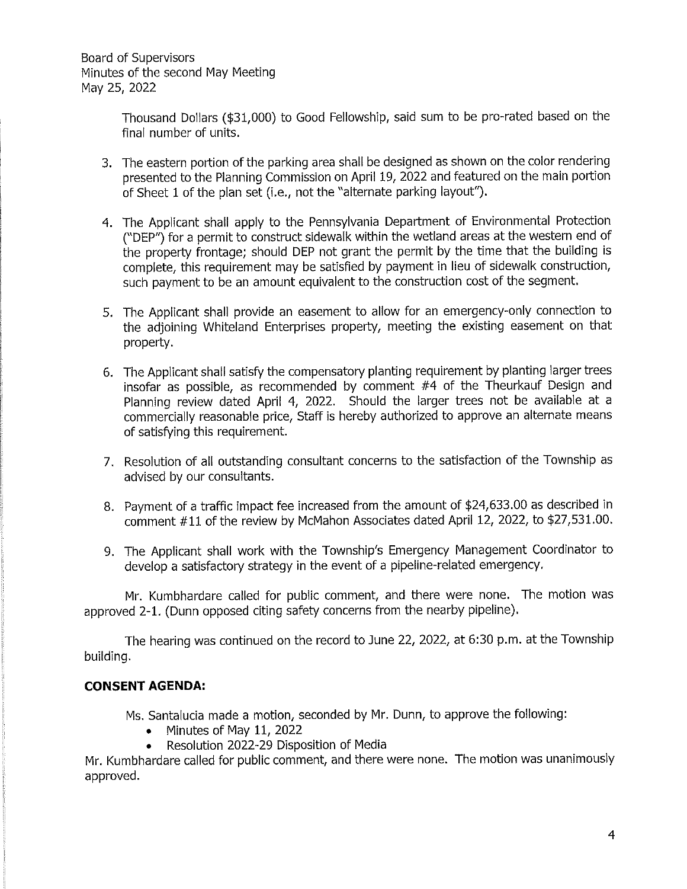> Thousand Dollars (\$31,000) to Good Fellowship, said sum to be pro-rated based on the final number of units.

- 3. The eastern portion of the parking area shall be designed as shown on the color rendering presented to the Planning Commission on April 19, 2022 and featured on the main portion of Sheet 1 of the plan set (i.e., not the "alternate parking layout").
- 4. The Applicant shall apply to the Pennsylvania Department of Environmental Protection CDEP'') for a permit to construct sidewalk within the wetland areas at the western end of the property frontage; should DEP not grant the permit by the time that the building is complete, this requirement may be satisfied by payment in lieu of sidewalk construction, such payment to be an amount equivalent to the construction cost of the segment.
- 5. The Applicant shall provide an easement to allow for an emergency-only connection to the adjoining Whiteland Enterprises property, meeting the existing easement on that property.
- 6. The Applicant shall satisfy the compensatory planting requirement by planting larger trees insofar as possible, as recommended by comment #4 of the Theurkauf Design and Planning review dated April 4, 2022. Should the larger trees not be available at a commercially reasonable price, Staff is hereby authorized to approve an alternate means of satisfying this requirement.
- 7. Resolution of all outstanding consultant concerns to the satisfaction of the Township as advised by our consultants.
- 8. Payment of a traffic impact fee increased from the amount of \$24,633.00 as described in comment #11 of the review by McMahon Associates dated April 12, 2022, to \$27,531.00.
- 9. The Applicant shall work with the Township's Emergency Management Coordinator to develop a satisfactory strategy in the event of a pipeline-related emergency.

Mr. Kumbhardare called for public comment, and there were none. The motion was approved 2-1. (Dunn opposed citing safety concerns from the nearby pipeline).

The hearing was continued on the record to June 22, 2022, at 6:30 p.m. at the Township building.

# **CONSENT AGENDA:**

Ms. Santalucia made a motion, seconded by Mr. Dunn, to approve the following:

- Minutes of May 11, 2022
- Resolution 2022-29 Disposition of Media

Mr. Kumbhardare called for public comment, and there were none. The motion was unanimously approved.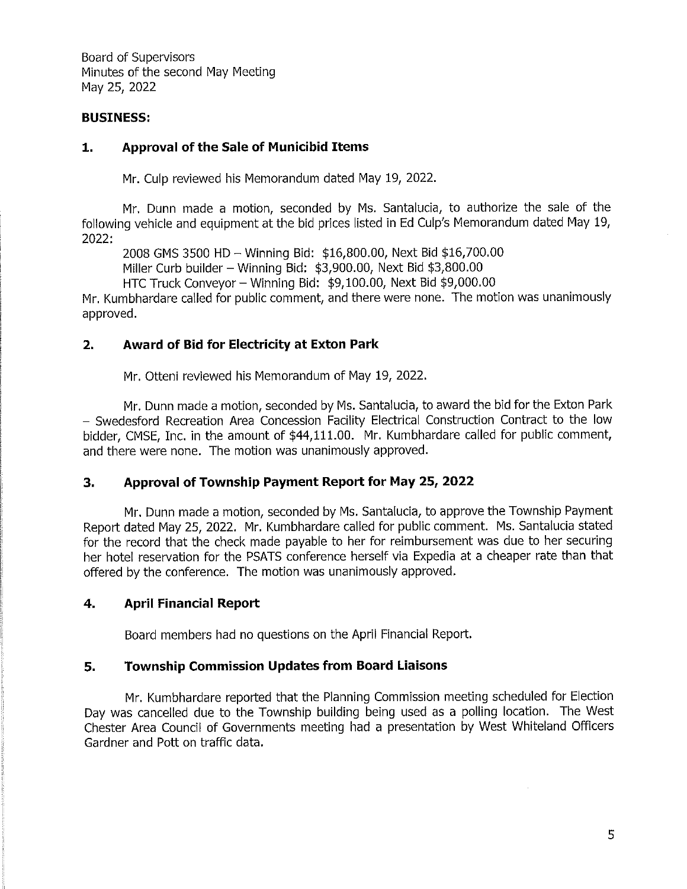### **BUSINESS:**

### **1. Approval of the Sale of Municibid Items**

Mr. Culp reviewed his Memorandum dated May 19, 2022.

Mr. Dunn made a motion, seconded by Ms. Santalucia, to authorize the sale of the following vehicle and equipment at the bid prices listed in Ed Culp's Memorandum dated May 19, 2022:

2008 GMS 3500 HD - Winning Bid: \$16,800.00, Next Bid \$16,700.00

Miller Curb builder - Winning Bid: \$3,900.00, Next Bid \$3,800.00

HTC Truck Conveyor- Winning Bid: \$9,100.00, Next Bid \$9,000.00

Mr. Kumbhardare called for public comment, and there were none. The motion was unanimously approved.

# **2. Award of Bid for Electricity at Exton Park**

Mr. Otteni reviewed his Memorandum of May 19, 2022.

Mr. Dunn made a motion, seconded by Ms. Santalucia, to award the bid for the Exton Park - Swedesford Recreation Area Concession Facility Electrical Construction Contract to the low bidder, CMSE, Inc. in the amount of \$44,111.00. Mr. Kumbhardare called for public comment, and there were none. The motion was unanimously approved.

# **3. Approval of Township Payment Report for May 25, 2022**

Mr. Dunn made a motion, seconded by Ms. Santalucia, to approve the Township Payment Report dated May 25, 2022. Mr. Kumbhardare called for public comment. Ms. Santalucia stated for the record that the check made payable to her for reimbursement was due to her securing her hotel reservation for the PSATS conference herself via Expedia at a cheaper rate than that offered by the conference. The motion was unanimously approved.

# **4. April Financial Report**

Board members had no questions on the April Financial Report.

# **5. Township Commission Updates from Board Liaisons**

Mr. Kumbhardare reported that the Planning Commission meeting scheduled for Election Day was cancelled due to the Township building being used as a polling location. The West Chester Area Council of Governments meeting had a presentation by West Whiteland Officers Gardner and Pott on traffic data.